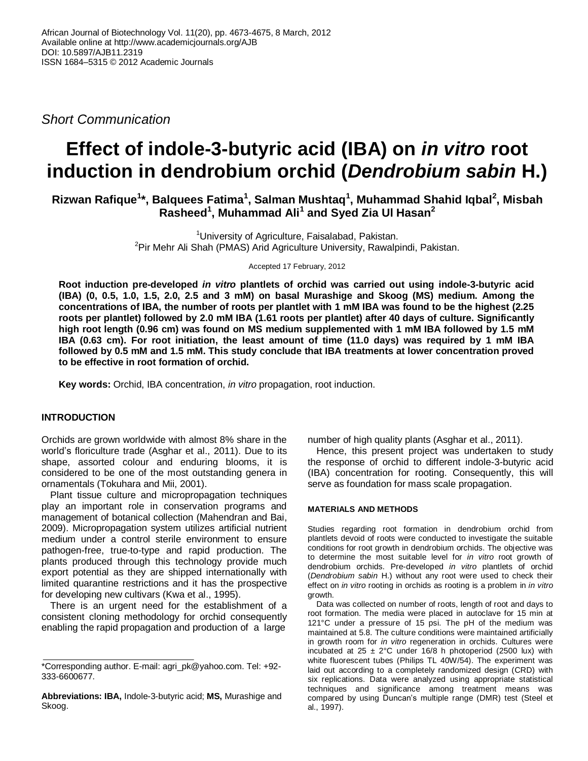*Short Communication*

# **Effect of indole-3-butyric acid (IBA) on** *in vitro* **root induction in dendrobium orchid (***Dendrobium sabin* **H.)**

**Rizwan Rafique<sup>1</sup> \*, Balquees Fatima<sup>1</sup> , Salman Mushtaq<sup>1</sup> , Muhammad Shahid Iqbal<sup>2</sup> , Misbah Rasheed<sup>1</sup> , Muhammad Ali<sup>1</sup> and Syed Zia Ul Hasan<sup>2</sup>**

> <sup>1</sup>University of Agriculture, Faisalabad, Pakistan. <sup>2</sup>Pir Mehr Ali Shah (PMAS) Arid Agriculture University, Rawalpindi, Pakistan.

> > Accepted 17 February, 2012

**Root induction pre-developed** *in vitro* **plantlets of orchid was carried out using indole-3-butyric acid (IBA) (0, 0.5, 1.0, 1.5, 2.0, 2.5 and 3 mM) on basal Murashige and Skoog (MS) medium. Among the concentrations of IBA, the number of roots per plantlet with 1 mM IBA was found to be the highest (2.25 roots per plantlet) followed by 2.0 mM IBA (1.61 roots per plantlet) after 40 days of culture. Significantly high root length (0.96 cm) was found on MS medium supplemented with 1 mM IBA followed by 1.5 mM IBA (0.63 cm). For root initiation, the least amount of time (11.0 days) was required by 1 mM IBA followed by 0.5 mM and 1.5 mM. This study conclude that IBA treatments at lower concentration proved to be effective in root formation of orchid.**

**Key words:** Orchid, IBA concentration, *in vitro* propagation, root induction.

# **INTRODUCTION**

Orchids are grown worldwide with almost 8% share in the world's floriculture trade (Asghar et al., 2011). Due to its shape, assorted colour and enduring blooms, it is considered to be one of the most outstanding genera in ornamentals (Tokuhara and Mii, 2001).

Plant tissue culture and micropropagation techniques play an important role in conservation programs and management of botanical collection (Mahendran and Bai, 2009). Micropropagation system utilizes artificial nutrient medium under a control sterile environment to ensure pathogen-free, true-to-type and rapid production. The plants produced through this technology provide much export potential as they are shipped internationally with limited quarantine restrictions and it has the prospective for developing new cultivars (Kwa et al., 1995).

There is an urgent need for the establishment of a consistent cloning methodology for orchid consequently enabling the rapid propagation and production of a large

number of high quality plants (Asghar et al., 2011).

Hence, this present project was undertaken to study the response of orchid to different indole-3-butyric acid (IBA) concentration for rooting. Consequently, this will serve as foundation for mass scale propagation.

#### **MATERIALS AND METHODS**

Studies regarding root formation in dendrobium orchid from plantlets devoid of roots were conducted to investigate the suitable conditions for root growth in dendrobium orchids. The objective was to determine the most suitable level for *in vitro* root growth of dendrobium orchids. Pre-developed *in vitro* plantlets of orchid (*Dendrobium sabin* H.) without any root were used to check their effect on *in vitro* rooting in orchids as rooting is a problem in *in vitro*  growth.

Data was collected on number of roots, length of root and days to root formation. The media were placed in autoclave for 15 min at 121°C under a pressure of 15 psi. The pH of the medium was maintained at 5.8. The culture conditions were maintained artificially in growth room for *in vitro* regeneration in orchids. Cultures were incubated at  $25 \pm 2^{\circ}$ C under 16/8 h photoperiod (2500 lux) with white fluorescent tubes (Philips TL 40W/54). The experiment was laid out according to a completely randomized design (CRD) with six replications. Data were analyzed using appropriate statistical techniques and significance among treatment means was compared by using Duncan's multiple range (DMR) test (Steel et al., 1997).

<sup>\*</sup>Corresponding author. E-mail: agri\_pk@yahoo.com. Tel: +92- 333-6600677.

**Abbreviations: IBA,** Indole-3-butyric acid; **MS,** Murashige and Skoog.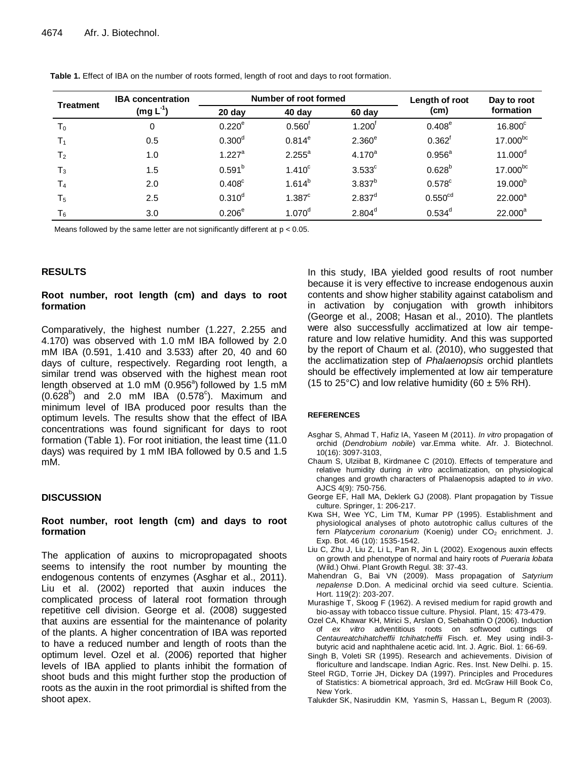| Treatment      | <b>IBA</b> concentration<br>$(mg L-1)$ | Number of root formed |                    |                      | Length of root       | Day to root         |
|----------------|----------------------------------------|-----------------------|--------------------|----------------------|----------------------|---------------------|
|                |                                        | $20$ day              | 40 day             | 60 day               | (cm)                 | formation           |
| T <sub>0</sub> | 0                                      | $0.220^{\circ}$       | $0.560^{\text{T}}$ | $1.200^{\mathrm{t}}$ | $0.408^{\circ}$      | 16.800 <sup>c</sup> |
| T <sub>1</sub> | 0.5                                    | $0.300^d$             | $0.814^{e}$        | 2.360 <sup>e</sup>   | $0.362$ <sup>f</sup> | 17.000bc            |
| T <sub>2</sub> | 1.0                                    | $1.227^{\circ}$       | $2.255^a$          | $4.170^{a}$          | $0.956^{\circ}$      | 11.000 <sup>d</sup> |
| $T_3$          | 1.5                                    | $0.591^{b}$           | $1.410^c$          | $3.533$ <sup>c</sup> | $0.628^{b}$          | $17.000^{bc}$       |
| T <sub>4</sub> | 2.0                                    | $0.408^{\circ}$       | $1.614^{b}$        | $3.837^{b}$          | $0.578$ <sup>c</sup> | 19.000 <sup>b</sup> |
| T <sub>5</sub> | 2.5                                    | $0.310^d$             | 1.387 <sup>c</sup> | $2.837^{d}$          | 0.550 <sup>cd</sup>  | $22.000^a$          |
| $T_6$          | 3.0                                    | $0.206^{\circ}$       | 1.070 <sup>d</sup> | $2.804^d$            | $0.534^d$            | $22.000^a$          |

**Table 1.** Effect of IBA on the number of roots formed, length of root and days to root formation.

Means followed by the same letter are not significantly different at p < 0.05.

## **RESULTS**

## **Root number, root length (cm) and days to root formation**

Comparatively, the highest number (1.227, 2.255 and 4.170) was observed with 1.0 mM IBA followed by 2.0 mM IBA (0.591, 1.410 and 3.533) after 20, 40 and 60 days of culture, respectively. Regarding root length, a similar trend was observed with the highest mean root length observed at 1.0 mM (0.956 $a$ ) followed by 1.5 mM  $(0.628^b)$  and 2.0 mM IBA  $(0.578^c)$ . Maximum and minimum level of IBA produced poor results than the optimum levels. The results show that the effect of IBA concentrations was found significant for days to root formation (Table 1). For root initiation, the least time (11.0 days) was required by 1 mM IBA followed by 0.5 and 1.5 mM.

## **DISCUSSION**

## **Root number, root length (cm) and days to root formation**

The application of auxins to micropropagated shoots seems to intensify the root number by mounting the endogenous contents of enzymes (Asghar et al., 2011). Liu et al. (2002) reported that auxin induces the complicated process of lateral root formation through repetitive cell division. George et al. (2008) suggested that auxins are essential for the maintenance of polarity of the plants. A higher concentration of IBA was reported to have a reduced number and length of roots than the optimum level. Ozel et al. (2006) reported that higher levels of IBA applied to plants inhibit the formation of shoot buds and this might further stop the production of roots as the auxin in the root primordial is shifted from the shoot apex.

In this study, IBA yielded good results of root number because it is very effective to increase endogenous auxin contents and show higher stability against catabolism and in activation by conjugation with growth inhibitors (George et al., 2008; Hasan et al., 2010). The plantlets were also successfully acclimatized at low air temperature and low relative humidity. And this was supported by the report of Chaum et al. (2010), who suggested that the acclimatization step of *Phalaenopsis* orchid plantlets should be effectively implemented at low air temperature (15 to 25°C) and low relative humidity (60  $\pm$  5% RH).

#### **REFERENCES**

- Asghar S, Ahmad T, Hafiz IA, Yaseen M (2011). *In vitro* propagation of orchid (*Dendrobium nobile*) var.Emma white. Afr. J. Biotechnol. 10(16): 3097-3103,
- Chaum S, Ulziibat B, Kirdmanee C (2010). Effects of temperature and relative humidity during *in vitro* acclimatization, on physiological changes and growth characters of Phalaenopsis adapted to *in vivo*. AJCS 4(9): 750-756.
- George EF, Hall MA, Deklerk GJ (2008). Plant propagation by Tissue culture. Springer, 1: 206-217.
- Kwa SH, Wee YC, Lim TM, Kumar PP (1995). Establishment and physiological analyses of photo autotrophic callus cultures of the fern Platycerium coronarium (Koenig) under CO<sub>2</sub> enrichment. J. Exp. Bot. 46 (10): 1535-1542.
- Liu C, Zhu J, Liu Z, Li L, Pan R, Jin L (2002). Exogenous auxin effects on growth and phenotype of normal and hairy roots of *Pueraria lobata*  (Wild.) Ohwi. Plant Growth Regul. 38: 37-43.
- Mahendran G, Bai VN (2009). Mass propagation of *Satyrium nepalense* D.Don. A medicinal orchid via seed culture. Scientia. Hort. 119(2): 203-207.
- Murashige T, Skoog F (1962). A revised medium for rapid growth and bio-assay with tobacco tissue culture. Physiol. Plant, 15: 473-479.
- Ozel CA, Khawar KH, Mirici S, Arslan O, Sebahattin O (2006). Induction of *ex vitro* adventitious roots on softwood cuttings of *Centaureatchihatcheffii tchihatcheffii* Fisch. *et*. Mey using indil-3 butyric acid and naphthalene acetic acid. Int. J. Agric. Biol. 1: 66-69.
- Singh B, Voleti SR (1995). Research and achievements. Division of floriculture and landscape. Indian Agric. Res. Inst. New Delhi. p. 15.
- Steel RGD, Torrie JH, Dickey DA (1997). Principles and Procedures of Statistics: A biometrical approach, 3rd ed. McGraw Hill Book Co, New York.
- Talukder SK, Nasiruddin KM, Yasmin S, Hassan L, Begum R (2003).